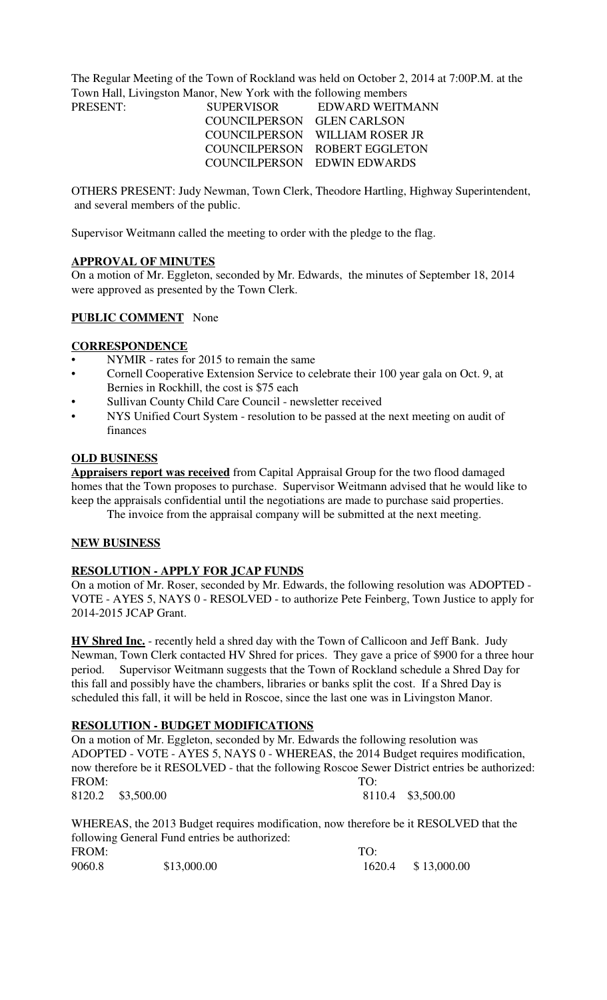The Regular Meeting of the Town of Rockland was held on October 2, 2014 at 7:00P.M. at the Town Hall, Livingston Manor, New York with the following members

| PRESENT: | SUPERVISOR                 | EDWARD WEITMANN                |
|----------|----------------------------|--------------------------------|
|          | COUNCILPERSON GLEN CARLSON |                                |
|          |                            | COUNCILPERSON WILLIAM ROSER JR |
|          |                            | COUNCILPERSON ROBERT EGGLETON  |
|          |                            | COUNCILPERSON EDWIN EDWARDS    |

OTHERS PRESENT: Judy Newman, Town Clerk, Theodore Hartling, Highway Superintendent, and several members of the public.

Supervisor Weitmann called the meeting to order with the pledge to the flag.

#### **APPROVAL OF MINUTES**

On a motion of Mr. Eggleton, seconded by Mr. Edwards, the minutes of September 18, 2014 were approved as presented by the Town Clerk.

## **PUBLIC COMMENT** None

#### **CORRESPONDENCE**

- NYMIR rates for 2015 to remain the same
- Cornell Cooperative Extension Service to celebrate their 100 year gala on Oct. 9, at Bernies in Rockhill, the cost is \$75 each
- Sullivan County Child Care Council newsletter received
- NYS Unified Court System resolution to be passed at the next meeting on audit of finances

#### **OLD BUSINESS**

**Appraisers report was received** from Capital Appraisal Group for the two flood damaged homes that the Town proposes to purchase. Supervisor Weitmann advised that he would like to keep the appraisals confidential until the negotiations are made to purchase said properties.

The invoice from the appraisal company will be submitted at the next meeting.

#### **NEW BUSINESS**

## **RESOLUTION - APPLY FOR JCAP FUNDS**

On a motion of Mr. Roser, seconded by Mr. Edwards, the following resolution was ADOPTED - VOTE - AYES 5, NAYS 0 - RESOLVED - to authorize Pete Feinberg, Town Justice to apply for 2014-2015 JCAP Grant.

**HV Shred Inc.** - recently held a shred day with the Town of Callicoon and Jeff Bank. Judy Newman, Town Clerk contacted HV Shred for prices. They gave a price of \$900 for a three hour period. Supervisor Weitmann suggests that the Town of Rockland schedule a Shred Day for this fall and possibly have the chambers, libraries or banks split the cost. If a Shred Day is scheduled this fall, it will be held in Roscoe, since the last one was in Livingston Manor.

#### **RESOLUTION - BUDGET MODIFICATIONS**

On a motion of Mr. Eggleton, seconded by Mr. Edwards the following resolution was ADOPTED - VOTE - AYES 5, NAYS 0 - WHEREAS, the 2014 Budget requires modification, now therefore be it RESOLVED - that the following Roscoe Sewer District entries be authorized: FROM: TO: 8120.2 \$3,500.00 8110.4 \$3,500.00

WHEREAS, the 2013 Budget requires modification, now therefore be it RESOLVED that the following General Fund entries be authorized: FROM: TO: 9060.8 \$13,000.00 \$13,000.00 1620.4 \$ 13,000.00